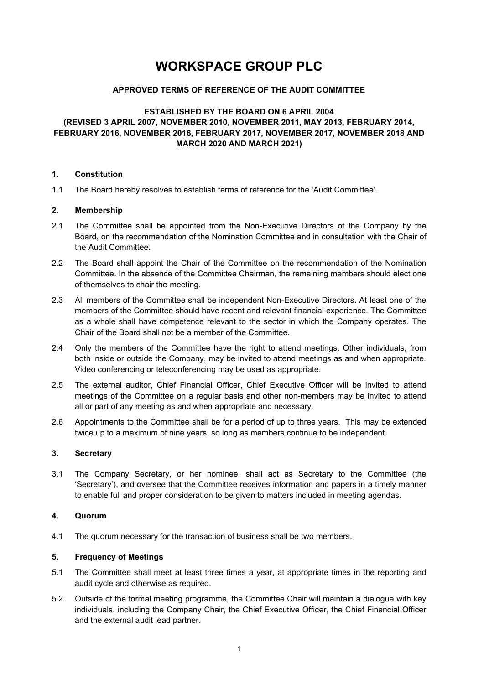# WORKSPACE GROUP PLC

# APPROVED TERMS OF REFERENCE OF THE AUDIT COMMITTEE

# ESTABLISHED BY THE BOARD ON 6 APRIL 2004 (REVISED 3 APRIL 2007, NOVEMBER 2010, NOVEMBER 2011, MAY 2013, FEBRUARY 2014, FEBRUARY 2016, NOVEMBER 2016, FEBRUARY 2017, NOVEMBER 2017, NOVEMBER 2018 AND MARCH 2020 AND MARCH 2021)

#### 1. Constitution

1.1 The Board hereby resolves to establish terms of reference for the 'Audit Committee'.

#### 2. Membership

- 2.1 The Committee shall be appointed from the Non-Executive Directors of the Company by the Board, on the recommendation of the Nomination Committee and in consultation with the Chair of the Audit Committee.
- 2.2 The Board shall appoint the Chair of the Committee on the recommendation of the Nomination Committee. In the absence of the Committee Chairman, the remaining members should elect one of themselves to chair the meeting.
- 2.3 All members of the Committee shall be independent Non-Executive Directors. At least one of the members of the Committee should have recent and relevant financial experience. The Committee as a whole shall have competence relevant to the sector in which the Company operates. The Chair of the Board shall not be a member of the Committee.
- 2.4 Only the members of the Committee have the right to attend meetings. Other individuals, from both inside or outside the Company, may be invited to attend meetings as and when appropriate. Video conferencing or teleconferencing may be used as appropriate.
- 2.5 The external auditor, Chief Financial Officer, Chief Executive Officer will be invited to attend meetings of the Committee on a regular basis and other non-members may be invited to attend all or part of any meeting as and when appropriate and necessary.
- 2.6 Appointments to the Committee shall be for a period of up to three years. This may be extended twice up to a maximum of nine years, so long as members continue to be independent.

## 3. Secretary

3.1 The Company Secretary, or her nominee, shall act as Secretary to the Committee (the 'Secretary'), and oversee that the Committee receives information and papers in a timely manner to enable full and proper consideration to be given to matters included in meeting agendas.

# 4. Quorum

4.1 The quorum necessary for the transaction of business shall be two members.

# 5. Frequency of Meetings

- 5.1 The Committee shall meet at least three times a year, at appropriate times in the reporting and audit cycle and otherwise as required.
- 5.2 Outside of the formal meeting programme, the Committee Chair will maintain a dialogue with key individuals, including the Company Chair, the Chief Executive Officer, the Chief Financial Officer and the external audit lead partner.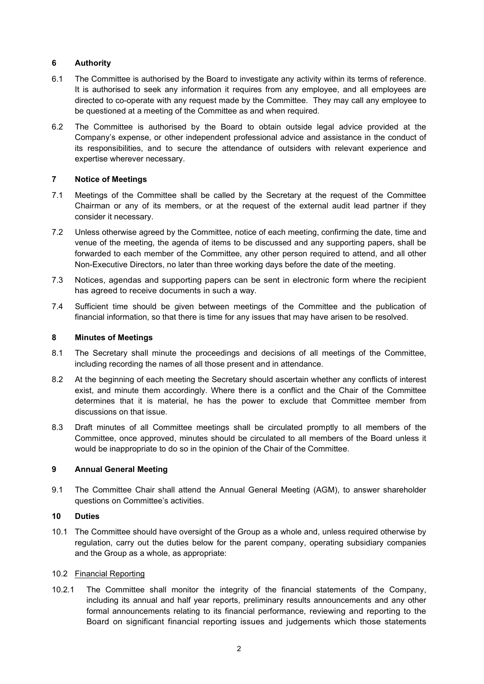# 6 Authority

- 6.1 The Committee is authorised by the Board to investigate any activity within its terms of reference. It is authorised to seek any information it requires from any employee, and all employees are directed to co-operate with any request made by the Committee. They may call any employee to be questioned at a meeting of the Committee as and when required.
- 6.2 The Committee is authorised by the Board to obtain outside legal advice provided at the Company's expense, or other independent professional advice and assistance in the conduct of its responsibilities, and to secure the attendance of outsiders with relevant experience and expertise wherever necessary.

## 7 Notice of Meetings

- 7.1 Meetings of the Committee shall be called by the Secretary at the request of the Committee Chairman or any of its members, or at the request of the external audit lead partner if they consider it necessary.
- 7.2 Unless otherwise agreed by the Committee, notice of each meeting, confirming the date, time and venue of the meeting, the agenda of items to be discussed and any supporting papers, shall be forwarded to each member of the Committee, any other person required to attend, and all other Non-Executive Directors, no later than three working days before the date of the meeting.
- 7.3 Notices, agendas and supporting papers can be sent in electronic form where the recipient has agreed to receive documents in such a way.
- 7.4 Sufficient time should be given between meetings of the Committee and the publication of financial information, so that there is time for any issues that may have arisen to be resolved.

# 8 Minutes of Meetings

- 8.1 The Secretary shall minute the proceedings and decisions of all meetings of the Committee, including recording the names of all those present and in attendance.
- 8.2 At the beginning of each meeting the Secretary should ascertain whether any conflicts of interest exist, and minute them accordingly. Where there is a conflict and the Chair of the Committee determines that it is material, he has the power to exclude that Committee member from discussions on that issue.
- 8.3 Draft minutes of all Committee meetings shall be circulated promptly to all members of the Committee, once approved, minutes should be circulated to all members of the Board unless it would be inappropriate to do so in the opinion of the Chair of the Committee.

## 9 Annual General Meeting

9.1 The Committee Chair shall attend the Annual General Meeting (AGM), to answer shareholder questions on Committee's activities.

## 10 Duties

10.1 The Committee should have oversight of the Group as a whole and, unless required otherwise by regulation, carry out the duties below for the parent company, operating subsidiary companies and the Group as a whole, as appropriate:

## 10.2 Financial Reporting

10.2.1 The Committee shall monitor the integrity of the financial statements of the Company, including its annual and half year reports, preliminary results announcements and any other formal announcements relating to its financial performance, reviewing and reporting to the Board on significant financial reporting issues and judgements which those statements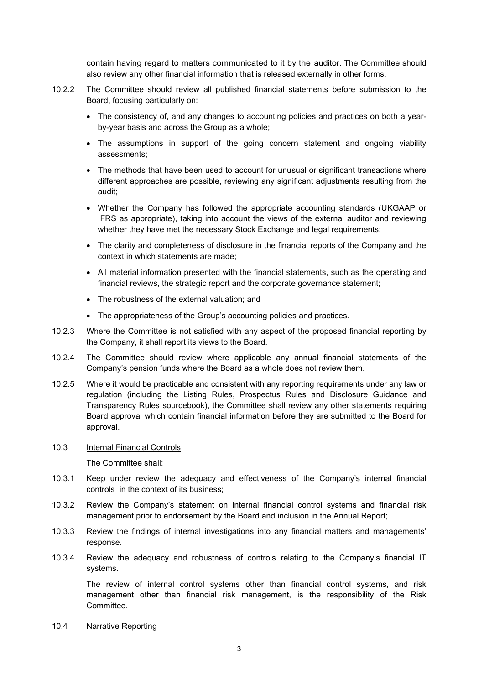contain having regard to matters communicated to it by the auditor. The Committee should also review any other financial information that is released externally in other forms.

- 10.2.2 The Committee should review all published financial statements before submission to the Board, focusing particularly on:
	- The consistency of, and any changes to accounting policies and practices on both a yearby-year basis and across the Group as a whole;
	- The assumptions in support of the going concern statement and ongoing viability assessments;
	- The methods that have been used to account for unusual or significant transactions where different approaches are possible, reviewing any significant adjustments resulting from the audit;
	- Whether the Company has followed the appropriate accounting standards (UKGAAP or IFRS as appropriate), taking into account the views of the external auditor and reviewing whether they have met the necessary Stock Exchange and legal requirements;
	- The clarity and completeness of disclosure in the financial reports of the Company and the context in which statements are made;
	- All material information presented with the financial statements, such as the operating and financial reviews, the strategic report and the corporate governance statement;
	- The robustness of the external valuation; and
	- The appropriateness of the Group's accounting policies and practices.
- 10.2.3 Where the Committee is not satisfied with any aspect of the proposed financial reporting by the Company, it shall report its views to the Board.
- 10.2.4 The Committee should review where applicable any annual financial statements of the Company's pension funds where the Board as a whole does not review them.
- 10.2.5 Where it would be practicable and consistent with any reporting requirements under any law or regulation (including the Listing Rules, Prospectus Rules and Disclosure Guidance and Transparency Rules sourcebook), the Committee shall review any other statements requiring Board approval which contain financial information before they are submitted to the Board for approval.
- 10.3 Internal Financial Controls

The Committee shall:

- 10.3.1 Keep under review the adequacy and effectiveness of the Company's internal financial controls in the context of its business;
- 10.3.2 Review the Company's statement on internal financial control systems and financial risk management prior to endorsement by the Board and inclusion in the Annual Report;
- 10.3.3 Review the findings of internal investigations into any financial matters and managements' response.
- 10.3.4 Review the adequacy and robustness of controls relating to the Company's financial IT systems.

The review of internal control systems other than financial control systems, and risk management other than financial risk management, is the responsibility of the Risk Committee.

10.4 Narrative Reporting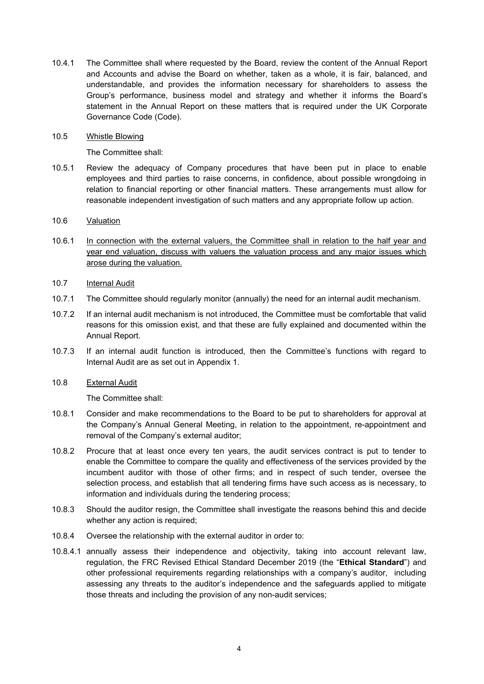- 10.4.1 The Committee shall where requested by the Board, review the content of the Annual Report and Accounts and advise the Board on whether, taken as a whole, it is fair, balanced, and understandable, and provides the information necessary for shareholders to assess the Group's performance, business model and strategy and whether it informs the Board's statement in the Annual Report on these matters that is required under the UK Corporate Governance Code (Code).
- 10.5 Whistle Blowing

The Committee shall:

- 10.5.1 Review the adequacy of Company procedures that have been put in place to enable employees and third parties to raise concerns, in confidence, about possible wrongdoing in relation to financial reporting or other financial matters. These arrangements must allow for reasonable independent investigation of such matters and any appropriate follow up action.
- 10.6 Valuation
- 10.6.1 In connection with the external valuers, the Committee shall in relation to the half year and year end valuation, discuss with valuers the valuation process and any major issues which arose during the valuation.
- 10.7 Internal Audit
- 10.7.1 The Committee should regularly monitor (annually) the need for an internal audit mechanism.
- 10.7.2 If an internal audit mechanism is not introduced, the Committee must be comfortable that valid reasons for this omission exist, and that these are fully explained and documented within the Annual Report.
- 10.7.3 If an internal audit function is introduced, then the Committee's functions with regard to Internal Audit are as set out in Appendix 1.
- 10.8 External Audit

The Committee shall:

- 10.8.1 Consider and make recommendations to the Board to be put to shareholders for approval at the Company's Annual General Meeting, in relation to the appointment, re-appointment and removal of the Company's external auditor;
- 10.8.2 Procure that at least once every ten years, the audit services contract is put to tender to enable the Committee to compare the quality and effectiveness of the services provided by the incumbent auditor with those of other firms; and in respect of such tender, oversee the selection process, and establish that all tendering firms have such access as is necessary, to information and individuals during the tendering process;
- 10.8.3 Should the auditor resign, the Committee shall investigate the reasons behind this and decide whether any action is required;
- 10.8.4 Oversee the relationship with the external auditor in order to:
- 10.8.4.1 annually assess their independence and objectivity, taking into account relevant law, regulation, the FRC Revised Ethical Standard December 2019 (the "Ethical Standard") and other professional requirements regarding relationships with a company's auditor, including assessing any threats to the auditor's independence and the safeguards applied to mitigate those threats and including the provision of any non-audit services;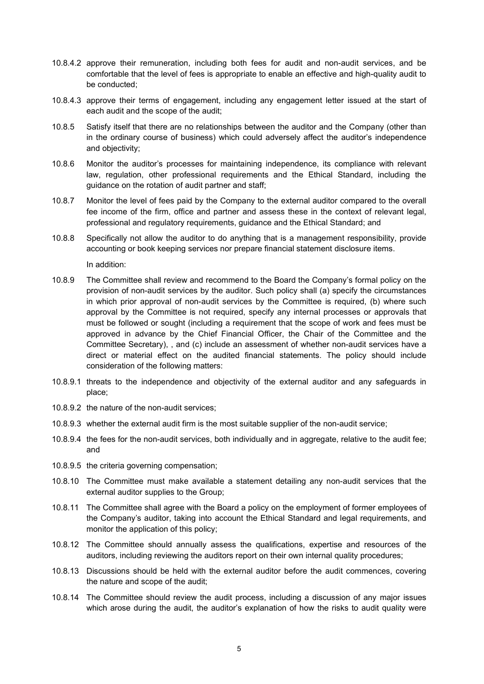- 10.8.4.2 approve their remuneration, including both fees for audit and non-audit services, and be comfortable that the level of fees is appropriate to enable an effective and high-quality audit to be conducted;
- 10.8.4.3 approve their terms of engagement, including any engagement letter issued at the start of each audit and the scope of the audit;
- 10.8.5 Satisfy itself that there are no relationships between the auditor and the Company (other than in the ordinary course of business) which could adversely affect the auditor's independence and objectivity;
- 10.8.6 Monitor the auditor's processes for maintaining independence, its compliance with relevant law, regulation, other professional requirements and the Ethical Standard, including the guidance on the rotation of audit partner and staff;
- 10.8.7 Monitor the level of fees paid by the Company to the external auditor compared to the overall fee income of the firm, office and partner and assess these in the context of relevant legal, professional and regulatory requirements, guidance and the Ethical Standard; and
- 10.8.8 Specifically not allow the auditor to do anything that is a management responsibility, provide accounting or book keeping services nor prepare financial statement disclosure items.

In addition:

- 10.8.9 The Committee shall review and recommend to the Board the Company's formal policy on the provision of non-audit services by the auditor. Such policy shall (a) specify the circumstances in which prior approval of non-audit services by the Committee is required, (b) where such approval by the Committee is not required, specify any internal processes or approvals that must be followed or sought (including a requirement that the scope of work and fees must be approved in advance by the Chief Financial Officer, the Chair of the Committee and the Committee Secretary), , and (c) include an assessment of whether non-audit services have a direct or material effect on the audited financial statements. The policy should include consideration of the following matters:
- 10.8.9.1 threats to the independence and objectivity of the external auditor and any safeguards in place;
- 10.8.9.2 the nature of the non-audit services;
- 10.8.9.3 whether the external audit firm is the most suitable supplier of the non-audit service;
- 10.8.9.4 the fees for the non-audit services, both individually and in aggregate, relative to the audit fee; and
- 10.8.9.5 the criteria governing compensation;
- 10.8.10 The Committee must make available a statement detailing any non-audit services that the external auditor supplies to the Group;
- 10.8.11 The Committee shall agree with the Board a policy on the employment of former employees of the Company's auditor, taking into account the Ethical Standard and legal requirements, and monitor the application of this policy;
- 10.8.12 The Committee should annually assess the qualifications, expertise and resources of the auditors, including reviewing the auditors report on their own internal quality procedures;
- 10.8.13 Discussions should be held with the external auditor before the audit commences, covering the nature and scope of the audit;
- 10.8.14 The Committee should review the audit process, including a discussion of any major issues which arose during the audit, the auditor's explanation of how the risks to audit quality were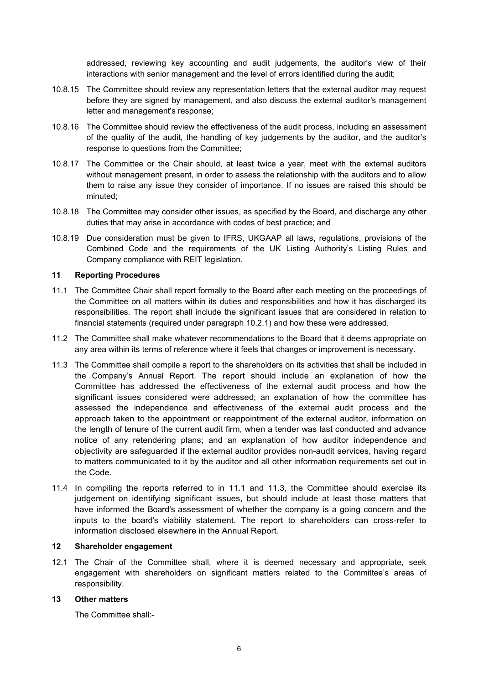addressed, reviewing key accounting and audit judgements, the auditor's view of their interactions with senior management and the level of errors identified during the audit;

- 10.8.15 The Committee should review any representation letters that the external auditor may request before they are signed by management, and also discuss the external auditor's management letter and management's response;
- 10.8.16 The Committee should review the effectiveness of the audit process, including an assessment of the quality of the audit, the handling of key judgements by the auditor, and the auditor's response to questions from the Committee;
- 10.8.17 The Committee or the Chair should, at least twice a year, meet with the external auditors without management present, in order to assess the relationship with the auditors and to allow them to raise any issue they consider of importance. If no issues are raised this should be minuted;
- 10.8.18 The Committee may consider other issues, as specified by the Board, and discharge any other duties that may arise in accordance with codes of best practice; and
- 10.8.19 Due consideration must be given to IFRS, UKGAAP all laws, regulations, provisions of the Combined Code and the requirements of the UK Listing Authority's Listing Rules and Company compliance with REIT legislation.

#### 11 Reporting Procedures

- 11.1 The Committee Chair shall report formally to the Board after each meeting on the proceedings of the Committee on all matters within its duties and responsibilities and how it has discharged its responsibilities. The report shall include the significant issues that are considered in relation to financial statements (required under paragraph 10.2.1) and how these were addressed.
- 11.2 The Committee shall make whatever recommendations to the Board that it deems appropriate on any area within its terms of reference where it feels that changes or improvement is necessary.
- 11.3 The Committee shall compile a report to the shareholders on its activities that shall be included in the Company's Annual Report. The report should include an explanation of how the Committee has addressed the effectiveness of the external audit process and how the significant issues considered were addressed; an explanation of how the committee has assessed the independence and effectiveness of the external audit process and the approach taken to the appointment or reappointment of the external auditor, information on the length of tenure of the current audit firm, when a tender was last conducted and advance notice of any retendering plans; and an explanation of how auditor independence and objectivity are safeguarded if the external auditor provides non-audit services, having regard to matters communicated to it by the auditor and all other information requirements set out in the Code.
- 11.4 In compiling the reports referred to in 11.1 and 11.3, the Committee should exercise its judgement on identifying significant issues, but should include at least those matters that have informed the Board's assessment of whether the company is a going concern and the inputs to the board's viability statement. The report to shareholders can cross-refer to information disclosed elsewhere in the Annual Report.

## 12 Shareholder engagement

12.1 The Chair of the Committee shall, where it is deemed necessary and appropriate, seek engagement with shareholders on significant matters related to the Committee's areas of responsibility.

## 13 Other matters

The Committee shall:-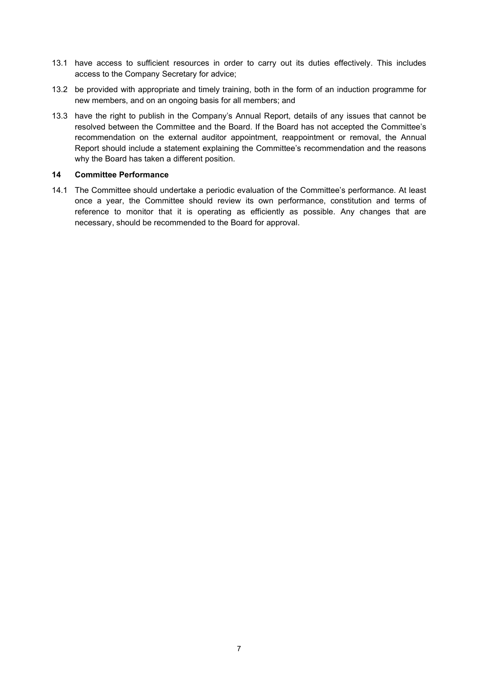- 13.1 have access to sufficient resources in order to carry out its duties effectively. This includes access to the Company Secretary for advice;
- 13.2 be provided with appropriate and timely training, both in the form of an induction programme for new members, and on an ongoing basis for all members; and
- 13.3 have the right to publish in the Company's Annual Report, details of any issues that cannot be resolved between the Committee and the Board. If the Board has not accepted the Committee's recommendation on the external auditor appointment, reappointment or removal, the Annual Report should include a statement explaining the Committee's recommendation and the reasons why the Board has taken a different position.

# 14 Committee Performance

14.1 The Committee should undertake a periodic evaluation of the Committee's performance. At least once a year, the Committee should review its own performance, constitution and terms of reference to monitor that it is operating as efficiently as possible. Any changes that are necessary, should be recommended to the Board for approval.